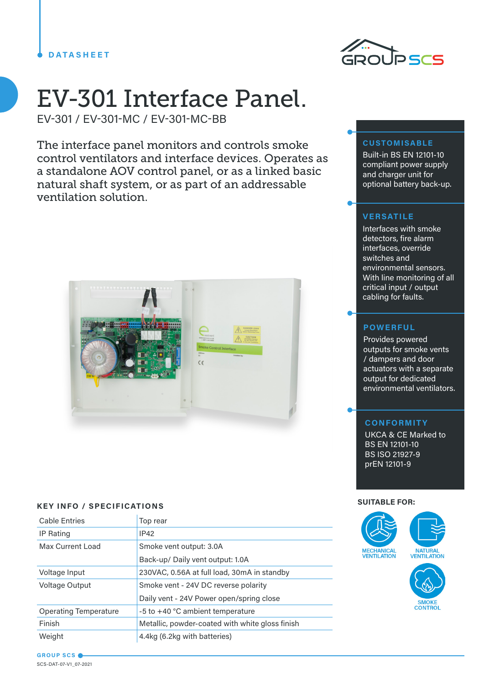

# EV-301 Interface Panel.

EV-301 / EV-301-MC / EV-301-MC-BB

The interface panel monitors and controls smoke control ventilators and interface devices. Operates as a standalone AOV control panel, or as a linked basic natural shaft system, or as part of an addressable ventilation solution.



# **SUITABLE FOR: KEY INFO / SPECIFICATIONS**

| <b>Cable Entries</b>         | Top rear                                        |
|------------------------------|-------------------------------------------------|
| IP Rating                    | IP42                                            |
| Max Current Load             | Smoke vent output: 3.0A                         |
|                              | Back-up/ Daily vent output: 1.0A                |
| Voltage Input                | 230VAC, 0.56A at full load, 30mA in standby     |
| <b>Voltage Output</b>        | Smoke vent - 24V DC reverse polarity            |
|                              | Daily vent - 24V Power open/spring close        |
| <b>Operating Temperature</b> | -5 to +40 °C ambient temperature                |
| Finish                       | Metallic, powder-coated with white gloss finish |
| Weight                       | 4.4kg (6.2kg with batteries)                    |

# **CUSTOMISABLE**

Built-in BS EN 12101-10 compliant power supply and charger unit for optional battery back-up.

# **VERSATILE**

Interfaces with smoke detectors, fire alarm interfaces, override switches and environmental sensors. With line monitoring of all critical input / output cabling for faults.

# **POWERFUL**

Provides powered outputs for smoke vents / dampers and door actuators with a separate output for dedicated environmental ventilators.

# **CONFORMITY**

UKCA & CE Marked to BS EN 12101-10 BS ISO 21927-9 prEN 12101-9



**GROUP SCS** SCS-DAT-07-V1\_07-2021